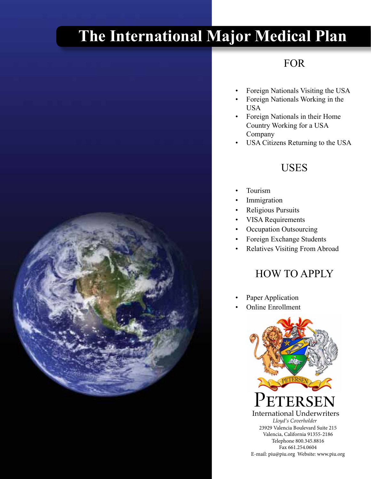# **The International Major Medical Plan**

# FOR

- Foreign Nationals Visiting the USA
- • Foreign Nationals Working in the USA
- Foreign Nationals in their Home Country Working for a USA Company
- USA Citizens Returning to the USA

# USES

- Tourism
- Immigration
- **Religious Pursuits**
- • VISA Requirements
- Occupation Outsourcing
- • Foreign Exchange Students
- Relatives Visiting From Abroad

# HOW TO APPLY

- Paper Application
- **Online Enrollment**





ι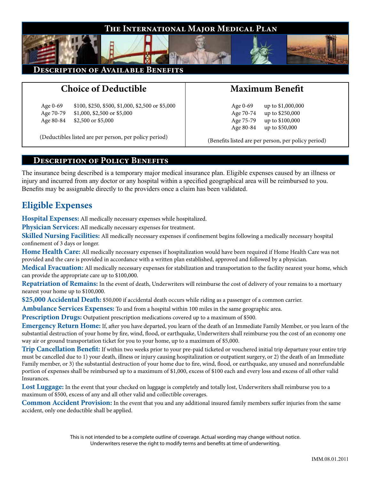

#### **Description of Available Benefits**

## **Choice of Deductible**

Age 0-69 \$100, \$250, \$500, \$1,000, \$2,500 or \$5,000 Age 70-79 \$1,000, \$2,500 or \$5,000 Age 80-84 \$2,500 or \$5,000

(Deductibles listed are per person, per policy period)

### **Maximum Benefit**

Age 0-69 up to \$1,000,000 Age 70-74 up to \$250,000 Age 75-79 up to \$100,000 Age 80-84 up to \$50,000

(Benefits listed are per person, per policy period)

#### **Description of Policy Benefits**

The insurance being described is a temporary major medical insurance plan. Eligible expenses caused by an illness or injury and incurred from any doctor or any hospital within a specified geographical area will be reimbursed to you. Benefits may be assignable directly to the providers once a claim has been validated.

### **Eligible Expenses**

**Hospital Expenses:** All medically necessary expenses while hospitalized.

**Physician Services:** All medically necessary expenses for treatment.

**Skilled Nursing Facilities:** All medically necessary expenses if confinement begins following a medically necessary hospital confinement of 3 days or longer.

**Home Health Care:** All medically necessary expenses if hospitalization would have been required if Home Health Care was not provided and the care is provided in accordance with a written plan established, approved and followed by a physician.

**Medical Evacuation:** All medically necessary expenses for stabilization and transportation to the facility nearest your home, which can provide the appropriate care up to \$100,000.

**Repatriation of Remains:** In the event of death, Underwriters will reimburse the cost of delivery of your remains to a mortuary nearest your home up to \$100,000.

**\$25,000 Accidental Death:** \$50,000 if accidental death occurs while riding as a passenger of a common carrier.

**Ambulance Services Expenses:** To and from a hospital within 100 miles in the same geographic area.

**Prescription Drugs:** Outpatient prescription medications covered up to a maximum of \$500.

**Emergency Return Home:** If, after you have departed, you learn of the death of an Immediate Family Member, or you learn of the substantial destruction of your home by fire, wind, flood, or earthquake, Underwriters shall reimburse you the cost of an economy one way air or ground transportation ticket for you to your home, up to a maximum of \$5,000.

**Trip Cancellation Benefit:** If within two weeks prior to your pre-paid ticketed or vouchered initial trip departure your entire trip must be cancelled due to 1) your death, illness or injury causing hospitalization or outpatient surgery, or 2) the death of an Immediate Family member, or 3) the substantial destruction of your home due to fire, wind, flood, or earthquake, any unused and nonrefundable portion of expenses shall be reimbursed up to a maximum of \$1,000, excess of \$100 each and every loss and excess of all other valid Insurances.

**Lost Luggage:** In the event that your checked on luggage is completely and totally lost, Underwriters shall reimburse you to a maximum of \$500, excess of any and all other valid and collectible coverages.

**Common Accident Provision:** In the event that you and any additional insured family members suffer injuries from the same accident, only one deductible shall be applied.

> This is not intended to be a complete outline of coverage. Actual wording may change without notice. Underwriters reserve the right to modify terms and benefits at time of underwriting.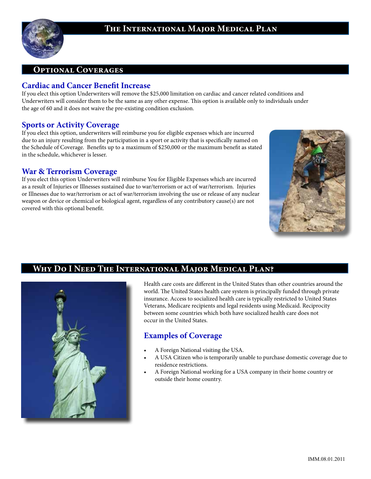



#### **Cardiac and Cancer Benefit Increase**

If you elect this option Underwriters will remove the \$25,000 limitation on cardiac and cancer related conditions and Underwriters will consider them to be the same as any other expense. This option is available only to individuals under the age of 60 and it does not waive the pre-existing condition exclusion.

#### **Sports or Activity Coverage**

If you elect this option, underwriters will reimburse you for eligible expenses which are incurred due to an injury resulting from the participation in a sport or activity that is specifically named on the Schedule of Coverage. Benefits up to a maximum of \$250,000 or the maximum benefit as stated in the schedule, whichever is lesser.

#### **War & Terrorism Coverage**

If you elect this option Underwriters will reimburse You for Eligible Expenses which are incurred as a result of Injuries or Illnesses sustained due to war/terrorism or act of war/terrorism. Injuries or Illnesses due to war/terrorism or act of war/terrorism involving the use or release of any nuclear weapon or device or chemical or biological agent, regardless of any contributory cause(s) are not covered with this optional benefit.





#### **Why Do I Need The International Major Medical Plan?**

Health care costs are different in the United States than other countries around the world. The United States health care system is principally funded through private insurance. Access to socialized health care is typically restricted to United States Veterans, Medicare recipients and legal residents using Medicaid. Reciprocity between some countries which both have socialized health care does not occur in the United States.

#### **Examples of Coverage**

- A Foreign National visiting the USA.
- A USA Citizen who is temporarily unable to purchase domestic coverage due to residence restrictions.
- A Foreign National working for a USA company in their home country or outside their home country.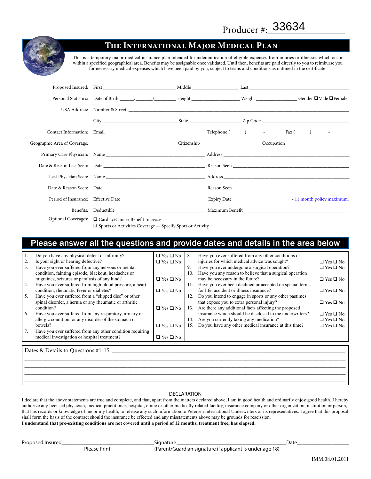

#### **The International Major Medical Plan**

This is a temporary major medical insurance plan intended for indemnification of eligible expenses from injuries or illnesses which occur within a specified geographical area. Benefits may be assignable once validated. Until then, benefits are paid directly to you to reimburse you for necessary medical expenses which have been paid by you, subject to terms and conditions as outlined in the certificate.

| Last Physician Seen: Name Name Name and Security and Security Address Name and Security and Security and Security and Security and Security and Security and Security and Security and Security and Security and Security and  |  |  |  |
|--------------------------------------------------------------------------------------------------------------------------------------------------------------------------------------------------------------------------------|--|--|--|
| Date & Reason Seen: Date et al., 2016. The Reason Seen Reason Seen Reason Seen Reason Seen Reason Seen Reason Seen Reason Seen Reason Seen Reason Seen Reason Seen Reason Seen Reason Seen Reason Seen Reason Seen Reason Seen |  |  |  |
|                                                                                                                                                                                                                                |  |  |  |
| Benefits: Deductible Maximum Benefit                                                                                                                                                                                           |  |  |  |
| Optional Coverages: □ Cardiac/Cancer Benefit Increase                                                                                                                                                                          |  |  |  |

### Please answer all the questions and provide dates and details in the area below

|                                     | Do you have any physical defect or infirmity?             | $\Box$ Yes $\Box$ No | 8.  | Have you ever suffered from any other conditions or      |                      |  |  |  |
|-------------------------------------|-----------------------------------------------------------|----------------------|-----|----------------------------------------------------------|----------------------|--|--|--|
| 2.                                  | Is your sight or hearing defective?                       | $\Box$ Yes $\Box$ No |     | injuries for which medical advice was sought?            | $\Box$ Yes $\Box$ No |  |  |  |
| 3.                                  | Have you ever suffered from any nervous or mental         |                      | 9.  | Have you ever undergone a surgical operation?            | $\Box$ Yes $\Box$ No |  |  |  |
|                                     | condition, fainting episode, blackout, headaches or       |                      | 10. | Have you any reason to believe that a surgical operation |                      |  |  |  |
|                                     | migraines, seizures or paralysis of any kind?             | $\Box$ Yes $\Box$ No |     | may be necessary in the future?                          | $\Box$ Yes $\Box$ No |  |  |  |
| 4.                                  | Have you ever suffered from high blood pressure, a heart  |                      | 11. | Have you ever been declined or accepted on special terms |                      |  |  |  |
|                                     | condition, rheumatic fever or diabetes?                   | $\Box$ Yes $\Box$ No |     | for life, accident or illness insurance?                 | $\Box$ Yes $\Box$ No |  |  |  |
| 5.                                  | Have you ever suffered from a "slipped disc" or other     |                      | 12. | Do you intend to engage in sports or any other pastimes  |                      |  |  |  |
|                                     | spinal disorder, a hernia or any rheumatic or arthritic   |                      |     | that expose you to extra personal injury?                | $\Box$ Yes $\Box$ No |  |  |  |
|                                     | condition?                                                | $\Box$ Yes $\Box$ No | 13. | Are there any additional facts affecting the proposed    |                      |  |  |  |
| 6.                                  | Have you ever suffered from any respiratory, urinary or   |                      |     | insurance which should be disclosed to the underwriters? | $\Box$ Yes $\Box$ No |  |  |  |
|                                     | allergic condition, or any disorder of the stomach or     |                      | 14. | Are you currently taking any medication?                 | $\Box$ Yes $\Box$ No |  |  |  |
|                                     | bowels?                                                   | $\Box$ Yes $\Box$ No | 15. | Do you have any other medical insurance at this time?    | $\Box$ Yes $\Box$ No |  |  |  |
|                                     | Have you ever suffered from any other condition requiring |                      |     |                                                          |                      |  |  |  |
|                                     | medical investigation or hospital treatment?              | $\Box$ Yes $\Box$ No |     |                                                          |                      |  |  |  |
|                                     |                                                           |                      |     |                                                          |                      |  |  |  |
| Dates & Details to Questions #1-15: |                                                           |                      |     |                                                          |                      |  |  |  |

#### DECLARATION

\_\_\_\_\_\_\_\_\_\_\_\_\_\_\_\_\_\_\_\_\_\_\_\_\_\_\_\_\_\_\_\_\_\_\_\_\_\_\_\_\_\_\_\_\_\_\_\_\_\_\_\_\_\_\_\_\_\_\_\_\_\_\_\_\_\_\_\_\_\_\_\_\_\_\_\_\_\_\_\_\_\_\_\_\_\_\_\_\_\_\_\_\_\_\_\_\_\_\_\_\_\_\_\_\_\_ \_\_\_\_\_\_\_\_\_\_\_\_\_\_\_\_\_\_\_\_\_\_\_\_\_\_\_\_\_\_\_\_\_\_\_\_\_\_\_\_\_\_\_\_\_\_\_\_\_\_\_\_\_\_\_\_\_\_\_\_\_\_\_\_\_\_\_\_\_\_\_\_\_\_\_\_\_\_\_\_\_\_\_\_\_\_\_\_\_\_\_\_\_\_\_\_\_\_\_\_\_\_\_\_\_\_ \_\_\_\_\_\_\_\_\_\_\_\_\_\_\_\_\_\_\_\_\_\_\_\_\_\_\_\_\_\_\_\_\_\_\_\_\_\_\_\_\_\_\_\_\_\_\_\_\_\_\_\_\_\_\_\_\_\_\_\_\_\_\_\_\_\_\_\_\_\_\_\_\_\_\_\_\_\_\_\_\_\_\_\_\_\_\_\_\_\_\_\_\_\_\_\_\_\_\_\_\_\_\_\_\_\_ \_\_\_\_\_\_\_\_\_\_\_\_\_\_\_\_\_\_\_\_\_\_\_\_\_\_\_\_\_\_\_\_\_\_\_\_\_\_\_\_\_\_\_\_\_\_\_\_\_\_\_\_\_\_\_\_\_\_\_\_\_\_\_\_\_\_\_\_\_\_\_\_\_\_\_\_\_\_\_\_\_\_\_\_\_\_\_\_\_\_\_\_\_\_\_\_\_\_\_\_\_\_\_\_\_\_

I declare that the above statements are true and complete, and that, apart from the matters declared above, I am in good health and ordinarily enjoy good health. I hereby authorize any licensed physician, medical practitioner, hospital, clinic or other medically related facility, insurance company or other organization, institution or person, that has records or knowledge of me or my health, to release any such information to Petersen International Underwriters or its representatives. I agree that this proposal shall form the basis of the contract should the insurance be effected and any misstatements above may be grounds for rescission. **I understand that pre-existing conditions are not covered until a period of 12 months, treatment free, has elapsed.**